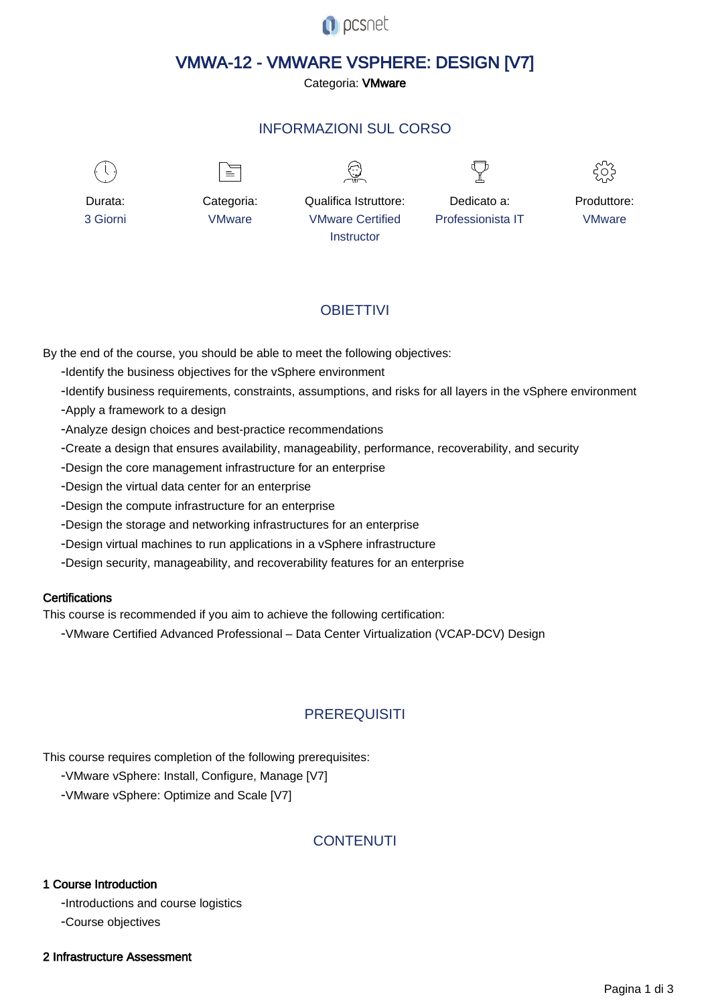

# VMWA-12 - VMWARE VSPHERE: DESIGN [V7]

Categoria: VMware

# INFORMAZIONI SUL CORSO

 $\overline{a}$ 



Durata: 3 Giorni

Categoria: VMware

≡

Qualifica Istruttore: VMware Certified **Instructor** 

Dedicato a: Professionista IT



Produttore: VMware

# **OBIFTTIVI**

By the end of the course, you should be able to meet the following objectives:

- Identify the business objectives for the vSphere environment
- Identify business requirements, constraints, assumptions, and risks for all layers in the vSphere environment
- Apply a framework to a design
- Analyze design choices and best-practice recommendations
- Create a design that ensures availability, manageability, performance, recoverability, and security
- Design the core management infrastructure for an enterprise
- Design the virtual data center for an enterprise
- Design the compute infrastructure for an enterprise
- Design the storage and networking infrastructures for an enterprise
- Design virtual machines to run applications in a vSphere infrastructure
- Design security, manageability, and recoverability features for an enterprise

# **Certifications**

This course is recommended if you aim to achieve the following certification:

- VMware Certified Advanced Professional – Data Center Virtualization (VCAP-DCV) Design

# **PREREQUISITI**

This course requires completion of the following prerequisites:

- VMware vSphere: Install, Configure, Manage [V7]
- VMware vSphere: Optimize and Scale [V7]

# **CONTENUTI**

### 1 Course Introduction

- Introductions and course logistics

- Course objectives

### 2 Infrastructure Assessment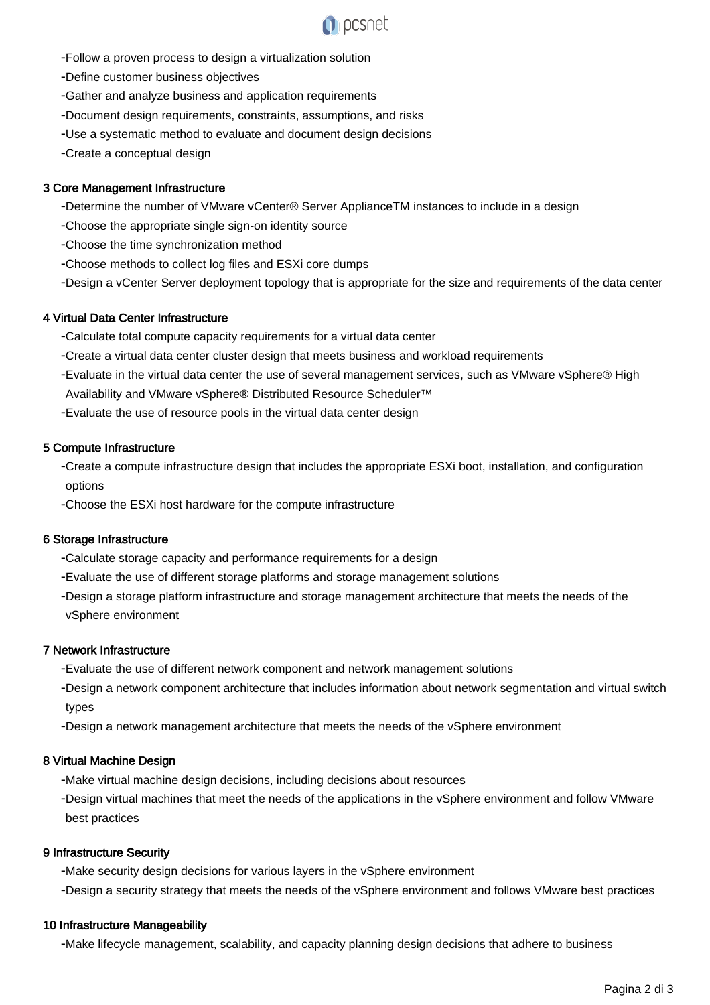

- Follow a proven process to design a virtualization solution
- Define customer business objectives
- Gather and analyze business and application requirements
- Document design requirements, constraints, assumptions, and risks
- Use a systematic method to evaluate and document design decisions
- Create a conceptual design

## 3 Core Management Infrastructure

- Determine the number of VMware vCenter® Server ApplianceTM instances to include in a design
- Choose the appropriate single sign-on identity source
- Choose the time synchronization method
- Choose methods to collect log files and ESXi core dumps
- Design a vCenter Server deployment topology that is appropriate for the size and requirements of the data center

#### 4 Virtual Data Center Infrastructure

- Calculate total compute capacity requirements for a virtual data center
- Create a virtual data center cluster design that meets business and workload requirements
- Evaluate in the virtual data center the use of several management services, such as VMware vSphere® High Availability and VMware vSphere® Distributed Resource Scheduler™
- Evaluate the use of resource pools in the virtual data center design

#### 5 Compute Infrastructure

- Create a compute infrastructure design that includes the appropriate ESXi boot, installation, and configuration options
- Choose the ESXi host hardware for the compute infrastructure

#### 6 Storage Infrastructure

- Calculate storage capacity and performance requirements for a design
- Evaluate the use of different storage platforms and storage management solutions
- Design a storage platform infrastructure and storage management architecture that meets the needs of the vSphere environment

#### 7 Network Infrastructure

- Evaluate the use of different network component and network management solutions
- Design a network component architecture that includes information about network segmentation and virtual switch types
- Design a network management architecture that meets the needs of the vSphere environment

# 8 Virtual Machine Design

- Make virtual machine design decisions, including decisions about resources
- Design virtual machines that meet the needs of the applications in the vSphere environment and follow VMware best practices

#### 9 Infrastructure Security

- Make security design decisions for various layers in the vSphere environment
- Design a security strategy that meets the needs of the vSphere environment and follows VMware best practices

#### 10 Infrastructure Manageability

- Make lifecycle management, scalability, and capacity planning design decisions that adhere to business